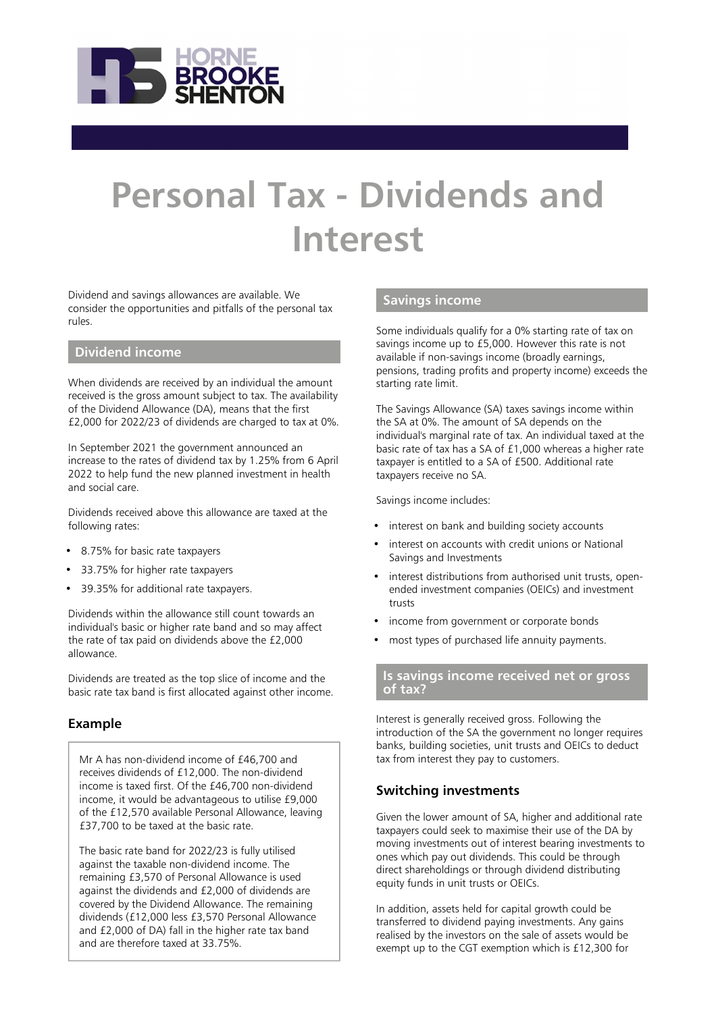

# **Personal Tax - Dividends and Interest**

Dividend and savings allowances are available. We consider the opportunities and pitfalls of the personal tax rules.

## **Dividend income**

When dividends are received by an individual the amount received is the gross amount subject to tax. The availability of the Dividend Allowance (DA), means that the first £2,000 for 2022/23 of dividends are charged to tax at 0%.

In September 2021 the government announced an increase to the rates of dividend tax by 1.25% from 6 April 2022 to help fund the new planned investment in health and social care.

Dividends received above this allowance are taxed at the following rates:

- 8.75% for basic rate taxpayers
- 33.75% for higher rate taxpayers
- 39.35% for additional rate taxpayers.

Dividends within the allowance still count towards an individual's basic or higher rate band and so may affect the rate of tax paid on dividends above the £2,000 allowance.

Dividends are treated as the top slice of income and the basic rate tax band is first allocated against other income.

## **Example**

Mr A has non-dividend income of £46,700 and receives dividends of £12,000. The non-dividend income is taxed first. Of the £46,700 non-dividend income, it would be advantageous to utilise £9,000 of the £12,570 available Personal Allowance, leaving £37,700 to be taxed at the basic rate.

The basic rate band for 2022/23 is fully utilised against the taxable non-dividend income. The remaining £3,570 of Personal Allowance is used against the dividends and £2,000 of dividends are covered by the Dividend Allowance. The remaining dividends (£12,000 less £3,570 Personal Allowance and £2,000 of DA) fall in the higher rate tax band and are therefore taxed at 33.75%.

## **Savings income**

Some individuals qualify for a 0% starting rate of tax on savings income up to £5,000. However this rate is not available if non-savings income (broadly earnings, pensions, trading profits and property income) exceeds the starting rate limit.

The Savings Allowance (SA) taxes savings income within the SA at 0%. The amount of SA depends on the individual's marginal rate of tax. An individual taxed at the basic rate of tax has a SA of £1,000 whereas a higher rate taxpayer is entitled to a SA of £500. Additional rate taxpayers receive no SA.

Savings income includes:

- interest on bank and building society accounts
- interest on accounts with credit unions or National Savings and Investments
- interest distributions from authorised unit trusts, openended investment companies (OEICs) and investment trusts
- income from government or corporate bonds
- most types of purchased life annuity payments.

#### **Is savings income received net or gross of tax?**

Interest is generally received gross. Following the introduction of the SA the government no longer requires banks, building societies, unit trusts and OEICs to deduct tax from interest they pay to customers.

## **Switching investments**

Given the lower amount of SA, higher and additional rate taxpayers could seek to maximise their use of the DA by moving investments out of interest bearing investments to ones which pay out dividends. This could be through direct shareholdings or through dividend distributing equity funds in unit trusts or OEICs.

In addition, assets held for capital growth could be transferred to dividend paying investments. Any gains realised by the investors on the sale of assets would be exempt up to the CGT exemption which is £12,300 for